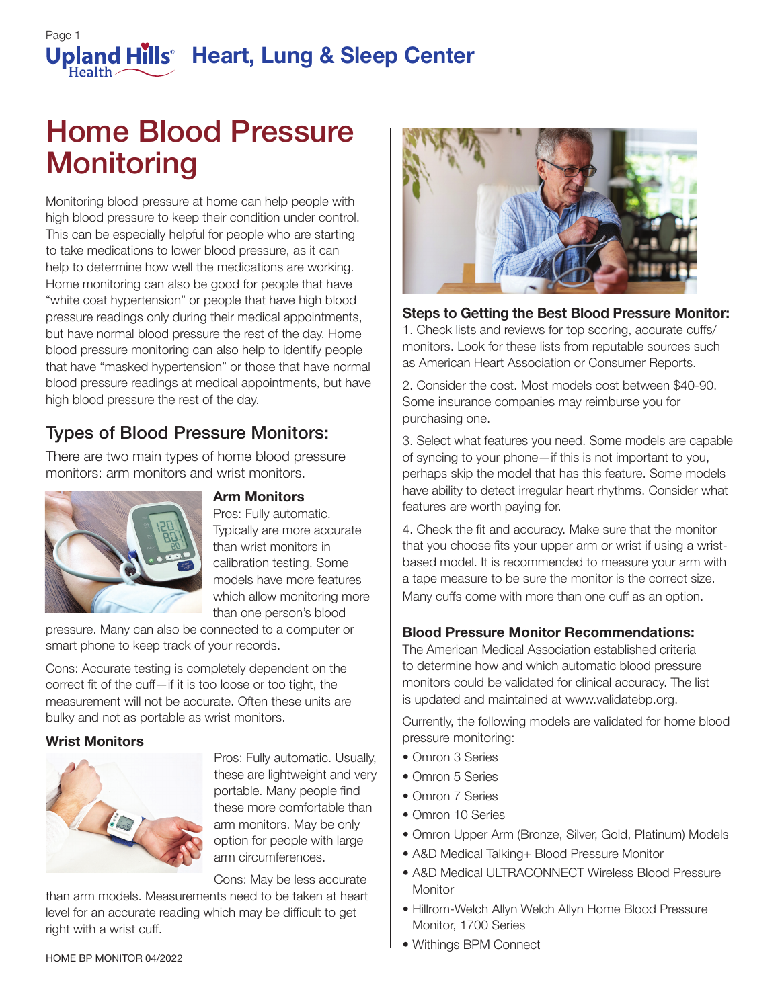## Page 1 **Upland Hills Heart, Lung & Sleep Center**

# Home Blood Pressure **Monitoring**

Monitoring blood pressure at home can help people with high blood pressure to keep their condition under control. This can be especially helpful for people who are starting to take medications to lower blood pressure, as it can help to determine how well the medications are working. Home monitoring can also be good for people that have "white coat hypertension" or people that have high blood pressure readings only during their medical appointments, but have normal blood pressure the rest of the day. Home blood pressure monitoring can also help to identify people that have "masked hypertension" or those that have normal blood pressure readings at medical appointments, but have high blood pressure the rest of the day.

### Types of Blood Pressure Monitors:

There are two main types of home blood pressure monitors: arm monitors and wrist monitors.



#### **Arm Monitors**

Pros: Fully automatic. Typically are more accurate than wrist monitors in calibration testing. Some models have more features which allow monitoring more than one person's blood

pressure. Many can also be connected to a computer or smart phone to keep track of your records.

Cons: Accurate testing is completely dependent on the correct fit of the cuff—if it is too loose or too tight, the measurement will not be accurate. Often these units are bulky and not as portable as wrist monitors.

#### **Wrist Monitors**



Pros: Fully automatic. Usually, these are lightweight and very portable. Many people find these more comfortable than arm monitors. May be only option for people with large arm circumferences.

Cons: May be less accurate

than arm models. Measurements need to be taken at heart level for an accurate reading which may be difficult to get right with a wrist cuff.



#### **Steps to Getting the Best Blood Pressure Monitor:**

1. Check lists and reviews for top scoring, accurate cuffs/ monitors. Look for these lists from reputable sources such as American Heart Association or Consumer Reports.

2. Consider the cost. Most models cost between \$40-90. Some insurance companies may reimburse you for purchasing one.

3. Select what features you need. Some models are capable of syncing to your phone—if this is not important to you, perhaps skip the model that has this feature. Some models have ability to detect irregular heart rhythms. Consider what features are worth paying for.

4. Check the fit and accuracy. Make sure that the monitor that you choose fits your upper arm or wrist if using a wristbased model. It is recommended to measure your arm with a tape measure to be sure the monitor is the correct size. Many cuffs come with more than one cuff as an option.

#### **Blood Pressure Monitor Recommendations:**

The American Medical Association established criteria to determine how and which automatic blood pressure monitors could be validated for clinical accuracy. The list is updated and maintained at www.validatebp.org.

Currently, the following models are validated for home blood pressure monitoring:

- Omron 3 Series
- Omron 5 Series
- Omron 7 Series
- Omron 10 Series
- Omron Upper Arm (Bronze, Silver, Gold, Platinum) Models
- A&D Medical Talking+ Blood Pressure Monitor
- A&D Medical ULTRACONNECT Wireless Blood Pressure **Monitor**
- Hillrom-Welch Allyn Welch Allyn Home Blood Pressure Monitor, 1700 Series
- Withings BPM Connect